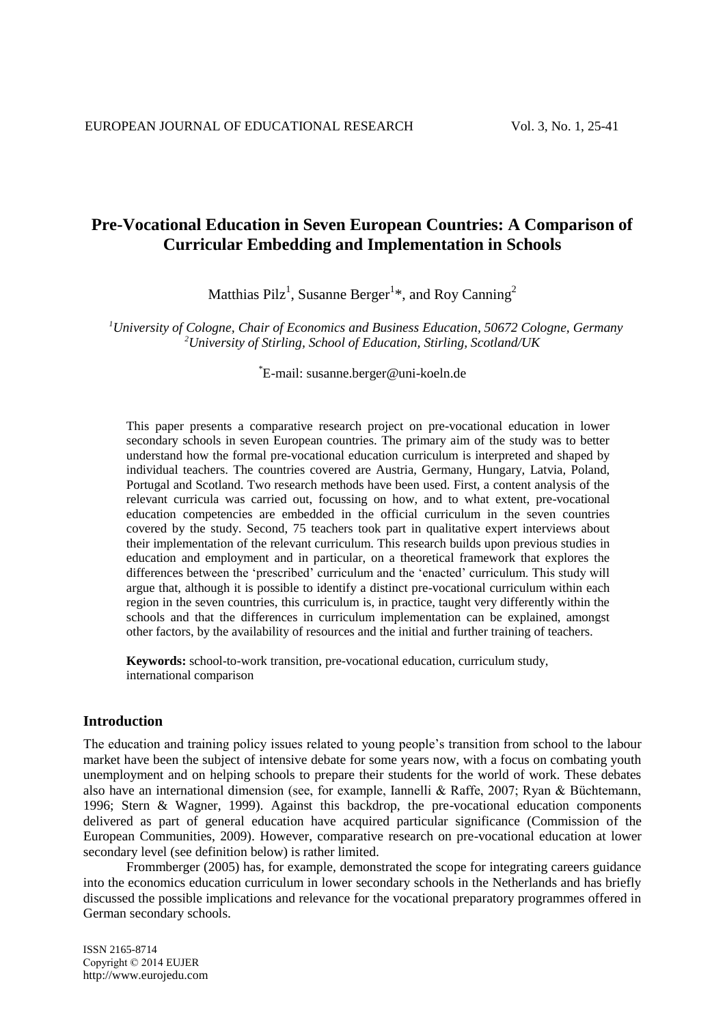# **Pre-Vocational Education in Seven European Countries: A Comparison of Curricular Embedding and Implementation in Schools**

Matthias Pilz<sup>1</sup>, Susanne Berger<sup>1\*</sup>, and Roy Canning<sup>2</sup>

*<sup>1</sup>University of Cologne, Chair of Economics and Business Education, 50672 Cologne, Germany <sup>2</sup>University of Stirling, School of Education, Stirling, Scotland/UK*

\*E-mail: susanne.berger@uni-koeln.de

This paper presents a comparative research project on pre-vocational education in lower secondary schools in seven European countries. The primary aim of the study was to better understand how the formal pre-vocational education curriculum is interpreted and shaped by individual teachers. The countries covered are Austria, Germany, Hungary, Latvia, Poland, Portugal and Scotland. Two research methods have been used. First, a content analysis of the relevant curricula was carried out, focussing on how, and to what extent, pre-vocational education competencies are embedded in the official curriculum in the seven countries covered by the study. Second, 75 teachers took part in qualitative expert interviews about their implementation of the relevant curriculum. This research builds upon previous studies in education and employment and in particular, on a theoretical framework that explores the differences between the 'prescribed' curriculum and the 'enacted' curriculum. This study will argue that, although it is possible to identify a distinct pre-vocational curriculum within each region in the seven countries, this curriculum is, in practice, taught very differently within the schools and that the differences in curriculum implementation can be explained, amongst other factors, by the availability of resources and the initial and further training of teachers.

**Keywords:** school-to-work transition, pre-vocational education, curriculum study, international comparison

## **Introduction**

The education and training policy issues related to young people's transition from school to the labour market have been the subject of intensive debate for some years now, with a focus on combating youth unemployment and on helping schools to prepare their students for the world of work. These debates also have an international dimension (see, for example, Iannelli & Raffe, 2007; Ryan & Büchtemann, 1996; Stern & Wagner, 1999). Against this backdrop, the pre-vocational education components delivered as part of general education have acquired particular significance (Commission of the European Communities, 2009). However, comparative research on pre-vocational education at lower secondary level (see definition below) is rather limited.

Frommberger (2005) has, for example, demonstrated the scope for integrating careers guidance into the economics education curriculum in lower secondary schools in the Netherlands and has briefly discussed the possible implications and relevance for the vocational preparatory programmes offered in German secondary schools.

ISSN 2165-8714 Copyright © 2014 EUJER http://www.eurojedu.com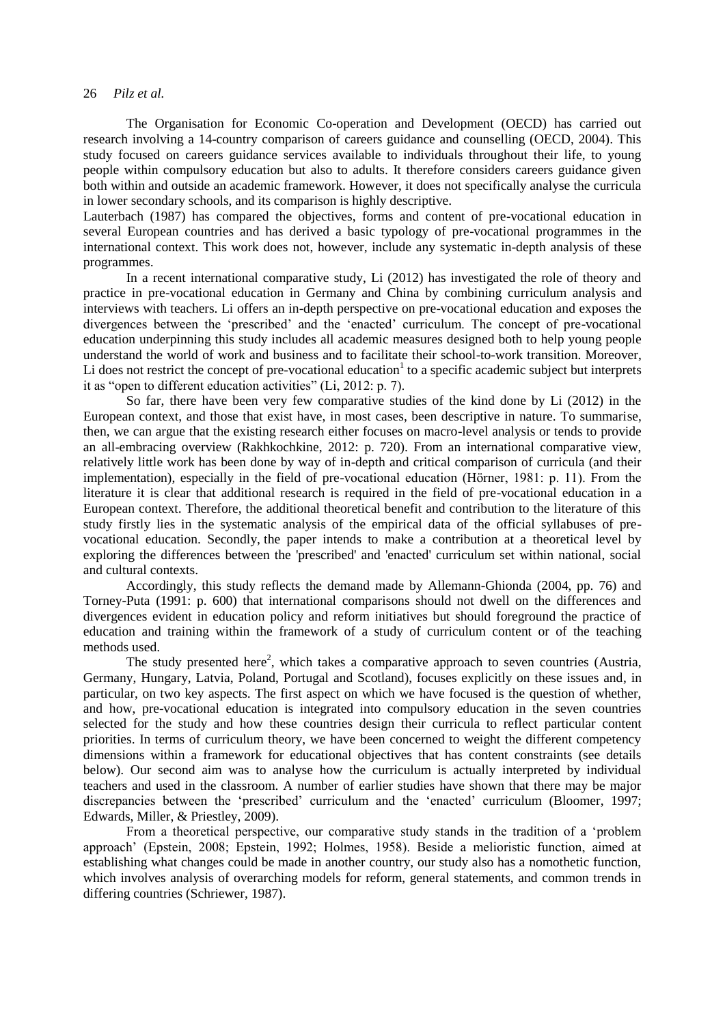The Organisation for Economic Co-operation and Development (OECD) has carried out research involving a 14-country comparison of careers guidance and counselling (OECD, 2004). This study focused on careers guidance services available to individuals throughout their life, to young people within compulsory education but also to adults. It therefore considers careers guidance given both within and outside an academic framework. However, it does not specifically analyse the curricula in lower secondary schools, and its comparison is highly descriptive.

Lauterbach (1987) has compared the objectives, forms and content of pre-vocational education in several European countries and has derived a basic typology of pre-vocational programmes in the international context. This work does not, however, include any systematic in-depth analysis of these programmes.

In a recent international comparative study, Li (2012) has investigated the role of theory and practice in pre-vocational education in Germany and China by combining curriculum analysis and interviews with teachers. Li offers an in-depth perspective on pre-vocational education and exposes the divergences between the 'prescribed' and the 'enacted' curriculum. The concept of pre-vocational education underpinning this study includes all academic measures designed both to help young people understand the world of work and business and to facilitate their school-to-work transition. Moreover, Li does not restrict the concept of pre-vocational education<sup>1</sup> to a specific academic subject but interprets it as "open to different education activities" (Li, 2012: p. 7).

So far, there have been very few comparative studies of the kind done by Li (2012) in the European context, and those that exist have, in most cases, been descriptive in nature. To summarise, then, we can argue that the existing research either focuses on macro-level analysis or tends to provide an all-embracing overview (Rakhkochkine, 2012: p. 720). From an international comparative view, relatively little work has been done by way of in-depth and critical comparison of curricula (and their implementation), especially in the field of pre-vocational education (Hörner, 1981: p. 11). From the literature it is clear that additional research is required in the field of pre-vocational education in a European context. Therefore, the additional theoretical benefit and contribution to the literature of this study firstly lies in the systematic analysis of the empirical data of the official syllabuses of prevocational education. Secondly, the paper intends to make a contribution at a theoretical level by exploring the differences between the 'prescribed' and 'enacted' curriculum set within national, social and cultural contexts.

Accordingly, this study reflects the demand made by Allemann-Ghionda (2004, pp. 76) and Torney-Puta (1991: p. 600) that international comparisons should not dwell on the differences and divergences evident in education policy and reform initiatives but should foreground the practice of education and training within the framework of a study of curriculum content or of the teaching methods used.

The study presented here<sup>2</sup>, which takes a comparative approach to seven countries (Austria, Germany, Hungary, Latvia, Poland, Portugal and Scotland), focuses explicitly on these issues and, in particular, on two key aspects. The first aspect on which we have focused is the question of whether, and how, pre-vocational education is integrated into compulsory education in the seven countries selected for the study and how these countries design their curricula to reflect particular content priorities. In terms of curriculum theory, we have been concerned to weight the different competency dimensions within a framework for educational objectives that has content constraints (see details below). Our second aim was to analyse how the curriculum is actually interpreted by individual teachers and used in the classroom. A number of earlier studies have shown that there may be major discrepancies between the 'prescribed' curriculum and the 'enacted' curriculum (Bloomer, 1997; Edwards, Miller, & Priestley, 2009).

From a theoretical perspective, our comparative study stands in the tradition of a 'problem approach' (Epstein, 2008; Epstein, 1992; Holmes, 1958). Beside a melioristic function, aimed at establishing what changes could be made in another country, our study also has a nomothetic function, which involves analysis of overarching models for reform, general statements, and common trends in differing countries (Schriewer, 1987).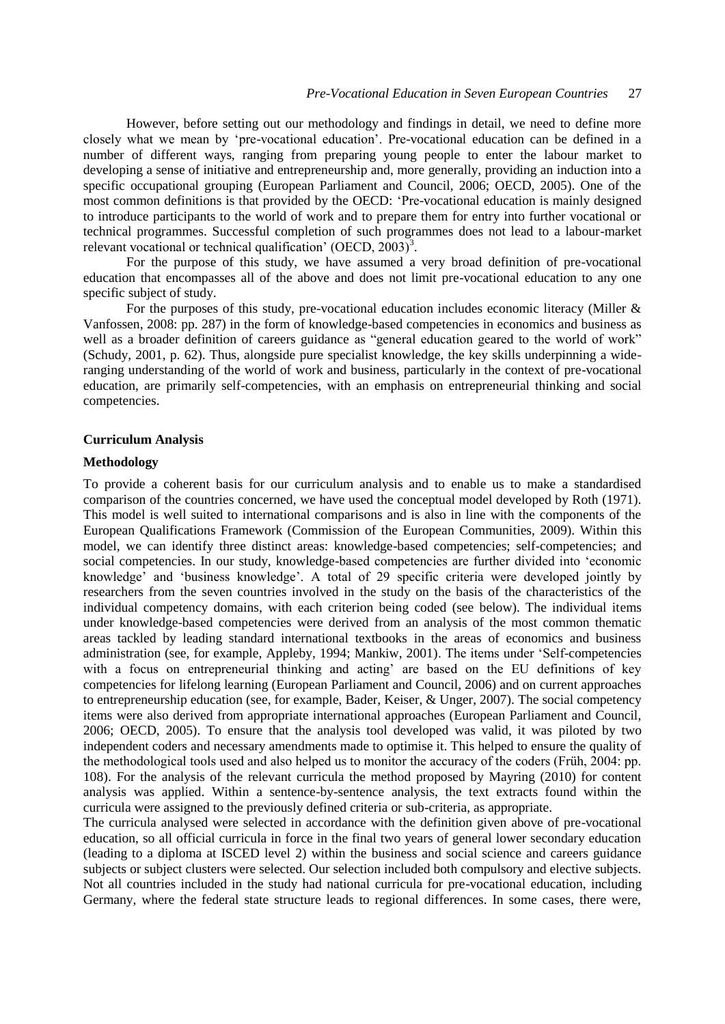However, before setting out our methodology and findings in detail, we need to define more closely what we mean by 'pre-vocational education'. Pre-vocational education can be defined in a number of different ways, ranging from preparing young people to enter the labour market to developing a sense of initiative and entrepreneurship and, more generally, providing an induction into a specific occupational grouping (European Parliament and Council, 2006; OECD, 2005). One of the most common definitions is that provided by the OECD: 'Pre-vocational education is mainly designed to introduce participants to the world of work and to prepare them for entry into further vocational or technical programmes. Successful completion of such programmes does not lead to a labour-market relevant vocational or technical qualification' (OECD,  $2003$ )<sup>3</sup>.

For the purpose of this study, we have assumed a very broad definition of pre-vocational education that encompasses all of the above and does not limit pre-vocational education to any one specific subject of study.

For the purposes of this study, pre-vocational education includes economic literacy (Miller & Vanfossen, 2008: pp. 287) in the form of knowledge-based competencies in economics and business as well as a broader definition of careers guidance as "general education geared to the world of work" (Schudy, 2001, p. 62). Thus, alongside pure specialist knowledge, the key skills underpinning a wideranging understanding of the world of work and business, particularly in the context of pre-vocational education, are primarily self-competencies, with an emphasis on entrepreneurial thinking and social competencies.

#### **Curriculum Analysis**

#### **Methodology**

To provide a coherent basis for our curriculum analysis and to enable us to make a standardised comparison of the countries concerned, we have used the conceptual model developed by Roth (1971). This model is well suited to international comparisons and is also in line with the components of the European Qualifications Framework (Commission of the European Communities, 2009). Within this model, we can identify three distinct areas: knowledge-based competencies; self-competencies; and social competencies. In our study, knowledge-based competencies are further divided into 'economic knowledge' and 'business knowledge'. A total of 29 specific criteria were developed jointly by researchers from the seven countries involved in the study on the basis of the characteristics of the individual competency domains, with each criterion being coded (see below). The individual items under knowledge-based competencies were derived from an analysis of the most common thematic areas tackled by leading standard international textbooks in the areas of economics and business administration (see, for example, Appleby, 1994; Mankiw, 2001). The items under 'Self-competencies with a focus on entrepreneurial thinking and acting' are based on the EU definitions of key competencies for lifelong learning (European Parliament and Council, 2006) and on current approaches to entrepreneurship education (see, for example, Bader, Keiser, & Unger, 2007). The social competency items were also derived from appropriate international approaches (European Parliament and Council, 2006; OECD, 2005). To ensure that the analysis tool developed was valid, it was piloted by two independent coders and necessary amendments made to optimise it. This helped to ensure the quality of the methodological tools used and also helped us to monitor the accuracy of the coders (Früh, 2004: pp. 108). For the analysis of the relevant curricula the method proposed by Mayring (2010) for content analysis was applied. Within a sentence-by-sentence analysis, the text extracts found within the curricula were assigned to the previously defined criteria or sub-criteria, as appropriate.

The curricula analysed were selected in accordance with the definition given above of pre-vocational education, so all official curricula in force in the final two years of general lower secondary education (leading to a diploma at ISCED level 2) within the business and social science and careers guidance subjects or subject clusters were selected. Our selection included both compulsory and elective subjects. Not all countries included in the study had national curricula for pre-vocational education, including Germany, where the federal state structure leads to regional differences. In some cases, there were,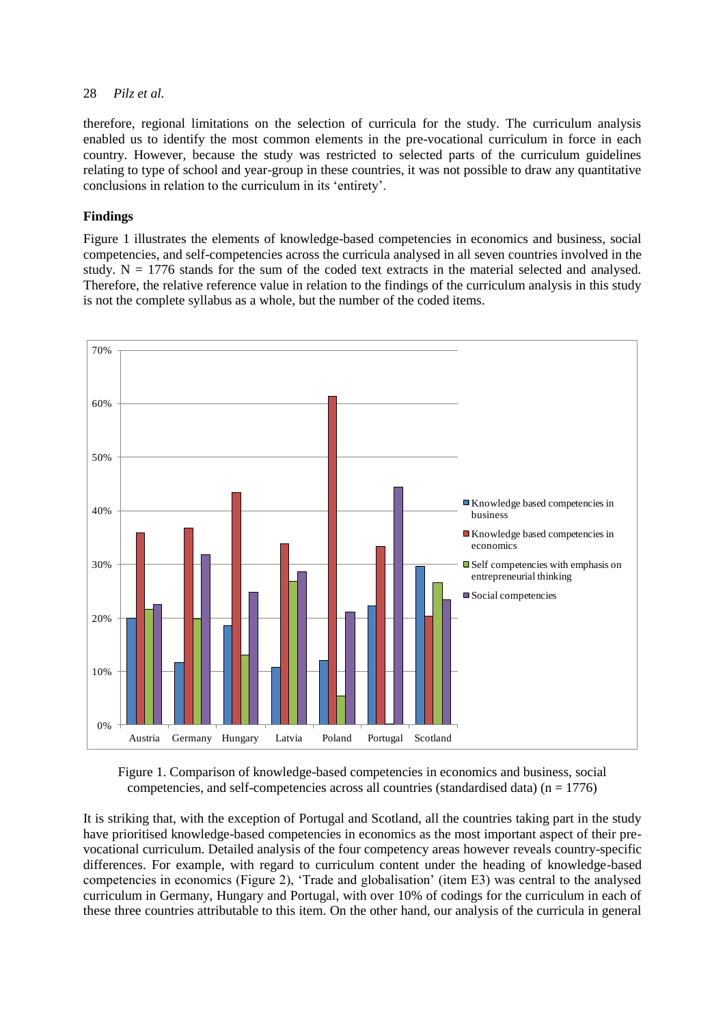therefore, regional limitations on the selection of curricula for the study. The curriculum analysis enabled us to identify the most common elements in the pre-vocational curriculum in force in each country. However, because the study was restricted to selected parts of the curriculum guidelines relating to type of school and year-group in these countries, it was not possible to draw any quantitative conclusions in relation to the curriculum in its 'entirety'.

# **Findings**

Figure 1 illustrates the elements of knowledge-based competencies in economics and business, social competencies, and self-competencies across the curricula analysed in all seven countries involved in the study.  $N = 1776$  stands for the sum of the coded text extracts in the material selected and analysed. Therefore, the relative reference value in relation to the findings of the curriculum analysis in this study is not the complete syllabus as a whole, but the number of the coded items.



Figure 1. Comparison of knowledge-based competencies in economics and business, social competencies, and self-competencies across all countries (standardised data)  $(n = 1776)$ 

It is striking that, with the exception of Portugal and Scotland, all the countries taking part in the study have prioritised knowledge-based competencies in economics as the most important aspect of their prevocational curriculum. Detailed analysis of the four competency areas however reveals country-specific differences. For example, with regard to curriculum content under the heading of knowledge-based competencies in economics (Figure 2), 'Trade and globalisation' (item E3) was central to the analysed curriculum in Germany, Hungary and Portugal, with over 10% of codings for the curriculum in each of these three countries attributable to this item. On the other hand, our analysis of the curricula in general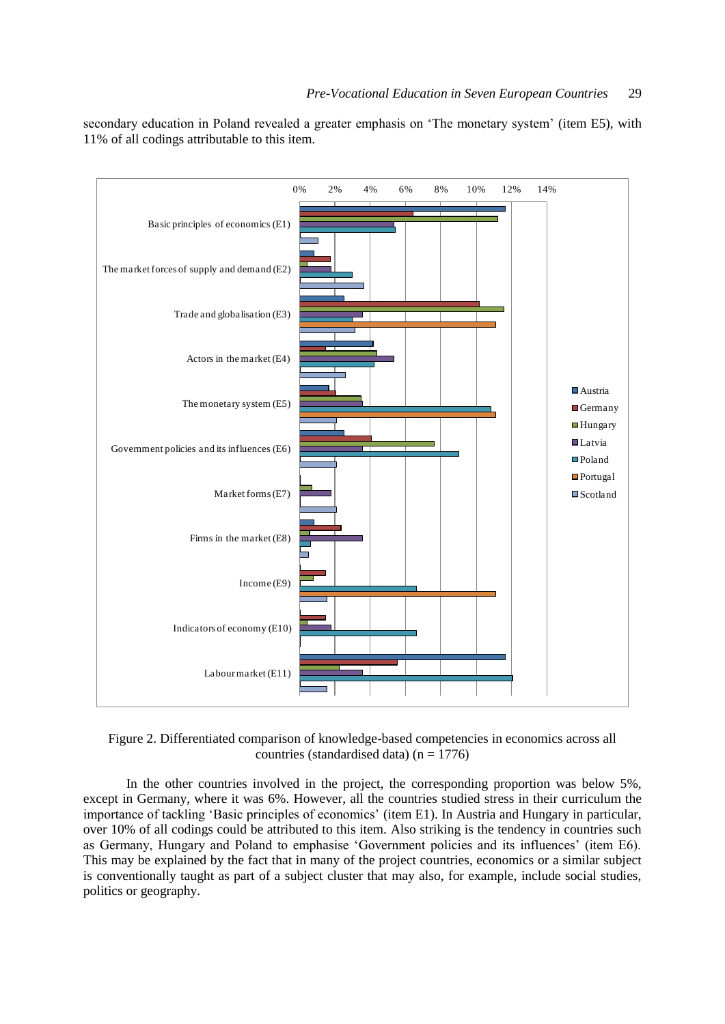secondary education in Poland revealed a greater emphasis on 'The monetary system' (item E5), with 11% of all codings attributable to this item.



Figure 2. Differentiated comparison of knowledge-based competencies in economics across all countries (standardised data) ( $n = 1776$ )

In the other countries involved in the project, the corresponding proportion was below 5%, except in Germany, where it was 6%. However, all the countries studied stress in their curriculum the importance of tackling 'Basic principles of economics' (item E1). In Austria and Hungary in particular, over 10% of all codings could be attributed to this item. Also striking is the tendency in countries such as Germany, Hungary and Poland to emphasise 'Government policies and its influences' (item E6). This may be explained by the fact that in many of the project countries, economics or a similar subject is conventionally taught as part of a subject cluster that may also, for example, include social studies, politics or geography.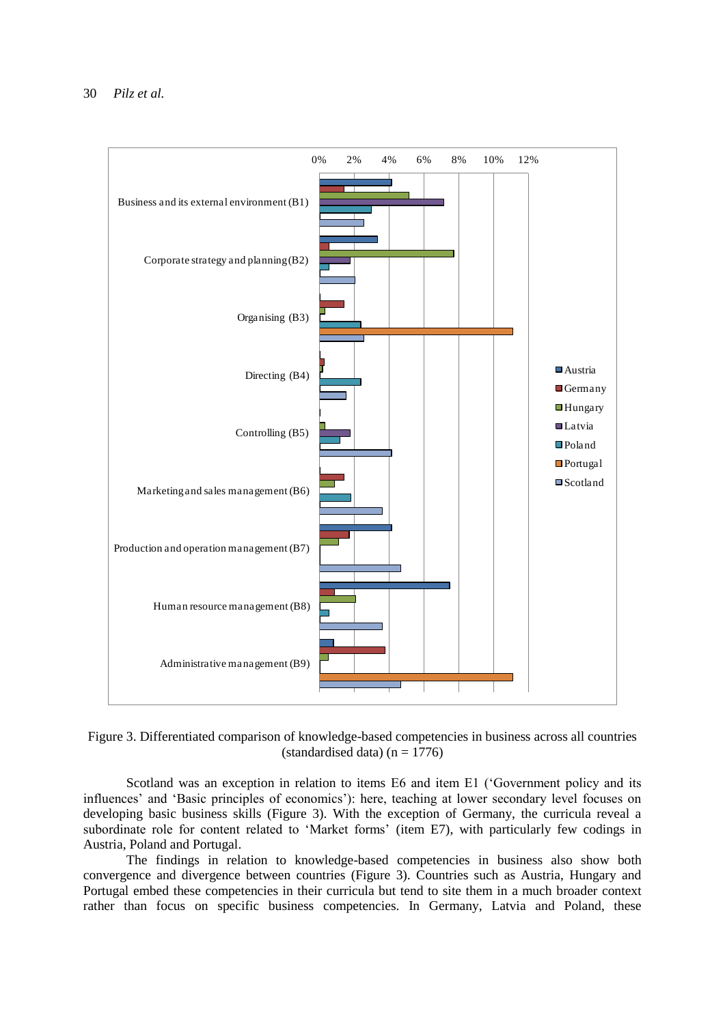

Figure 3. Differentiated comparison of knowledge-based competencies in business across all countries (standardised data) ( $n = 1776$ )

Scotland was an exception in relation to items E6 and item E1 ('Government policy and its influences' and 'Basic principles of economics'): here, teaching at lower secondary level focuses on developing basic business skills (Figure 3). With the exception of Germany, the curricula reveal a subordinate role for content related to 'Market forms' (item E7), with particularly few codings in Austria, Poland and Portugal.

The findings in relation to knowledge-based competencies in business also show both convergence and divergence between countries (Figure 3). Countries such as Austria, Hungary and Portugal embed these competencies in their curricula but tend to site them in a much broader context rather than focus on specific business competencies. In Germany, Latvia and Poland, these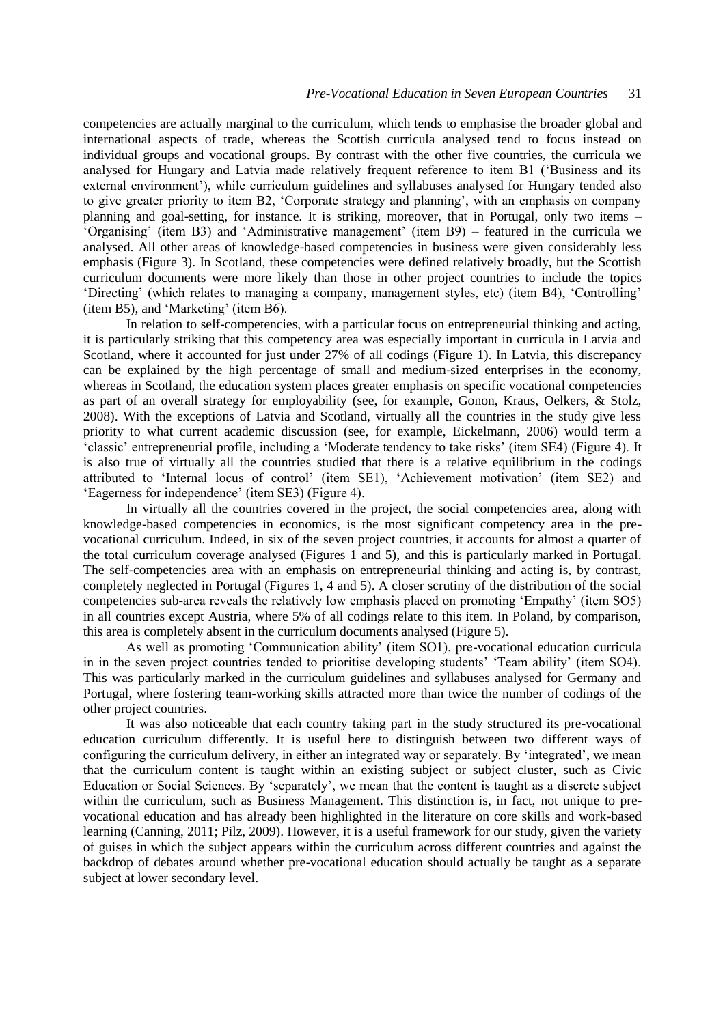competencies are actually marginal to the curriculum, which tends to emphasise the broader global and international aspects of trade, whereas the Scottish curricula analysed tend to focus instead on individual groups and vocational groups. By contrast with the other five countries, the curricula we analysed for Hungary and Latvia made relatively frequent reference to item B1 ('Business and its external environment'), while curriculum guidelines and syllabuses analysed for Hungary tended also to give greater priority to item B2, 'Corporate strategy and planning', with an emphasis on company planning and goal-setting, for instance. It is striking, moreover, that in Portugal, only two items – 'Organising' (item B3) and 'Administrative management' (item B9) – featured in the curricula we analysed. All other areas of knowledge-based competencies in business were given considerably less emphasis (Figure 3). In Scotland, these competencies were defined relatively broadly, but the Scottish curriculum documents were more likely than those in other project countries to include the topics 'Directing' (which relates to managing a company, management styles, etc) (item B4), 'Controlling' (item B5), and 'Marketing' (item B6).

In relation to self-competencies, with a particular focus on entrepreneurial thinking and acting, it is particularly striking that this competency area was especially important in curricula in Latvia and Scotland, where it accounted for just under 27% of all codings (Figure 1). In Latvia, this discrepancy can be explained by the high percentage of small and medium-sized enterprises in the economy, whereas in Scotland, the education system places greater emphasis on specific vocational competencies as part of an overall strategy for employability (see, for example, Gonon, Kraus, Oelkers, & Stolz, 2008). With the exceptions of Latvia and Scotland, virtually all the countries in the study give less priority to what current academic discussion (see, for example, Eickelmann, 2006) would term a 'classic' entrepreneurial profile, including a 'Moderate tendency to take risks' (item SE4) (Figure 4). It is also true of virtually all the countries studied that there is a relative equilibrium in the codings attributed to 'Internal locus of control' (item SE1), 'Achievement motivation' (item SE2) and 'Eagerness for independence' (item SE3) (Figure 4).

In virtually all the countries covered in the project, the social competencies area, along with knowledge-based competencies in economics, is the most significant competency area in the prevocational curriculum. Indeed, in six of the seven project countries, it accounts for almost a quarter of the total curriculum coverage analysed (Figures 1 and 5), and this is particularly marked in Portugal. The self-competencies area with an emphasis on entrepreneurial thinking and acting is, by contrast, completely neglected in Portugal (Figures 1, 4 and 5). A closer scrutiny of the distribution of the social competencies sub-area reveals the relatively low emphasis placed on promoting 'Empathy' (item SO5) in all countries except Austria, where 5% of all codings relate to this item. In Poland, by comparison, this area is completely absent in the curriculum documents analysed (Figure 5).

As well as promoting 'Communication ability' (item SO1), pre-vocational education curricula in in the seven project countries tended to prioritise developing students' 'Team ability' (item SO4). This was particularly marked in the curriculum guidelines and syllabuses analysed for Germany and Portugal, where fostering team-working skills attracted more than twice the number of codings of the other project countries.

It was also noticeable that each country taking part in the study structured its pre-vocational education curriculum differently. It is useful here to distinguish between two different ways of configuring the curriculum delivery, in either an integrated way or separately. By 'integrated', we mean that the curriculum content is taught within an existing subject or subject cluster, such as Civic Education or Social Sciences. By 'separately', we mean that the content is taught as a discrete subject within the curriculum, such as Business Management. This distinction is, in fact, not unique to prevocational education and has already been highlighted in the literature on core skills and work-based learning (Canning, 2011; Pilz, 2009). However, it is a useful framework for our study, given the variety of guises in which the subject appears within the curriculum across different countries and against the backdrop of debates around whether pre-vocational education should actually be taught as a separate subject at lower secondary level.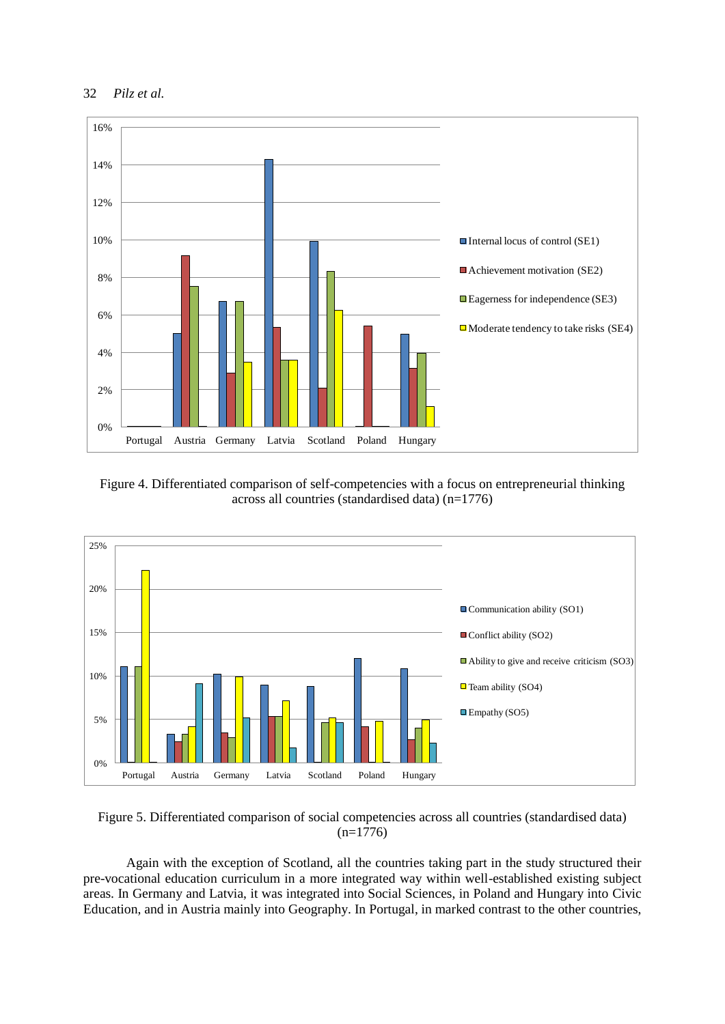



Figure 4. Differentiated comparison of self-competencies with a focus on entrepreneurial thinking across all countries (standardised data) (n=1776)



Figure 5. Differentiated comparison of social competencies across all countries (standardised data)  $(n=1776)$ 

Again with the exception of Scotland, all the countries taking part in the study structured their pre-vocational education curriculum in a more integrated way within well-established existing subject areas. In Germany and Latvia, it was integrated into Social Sciences, in Poland and Hungary into Civic Education, and in Austria mainly into Geography. In Portugal, in marked contrast to the other countries,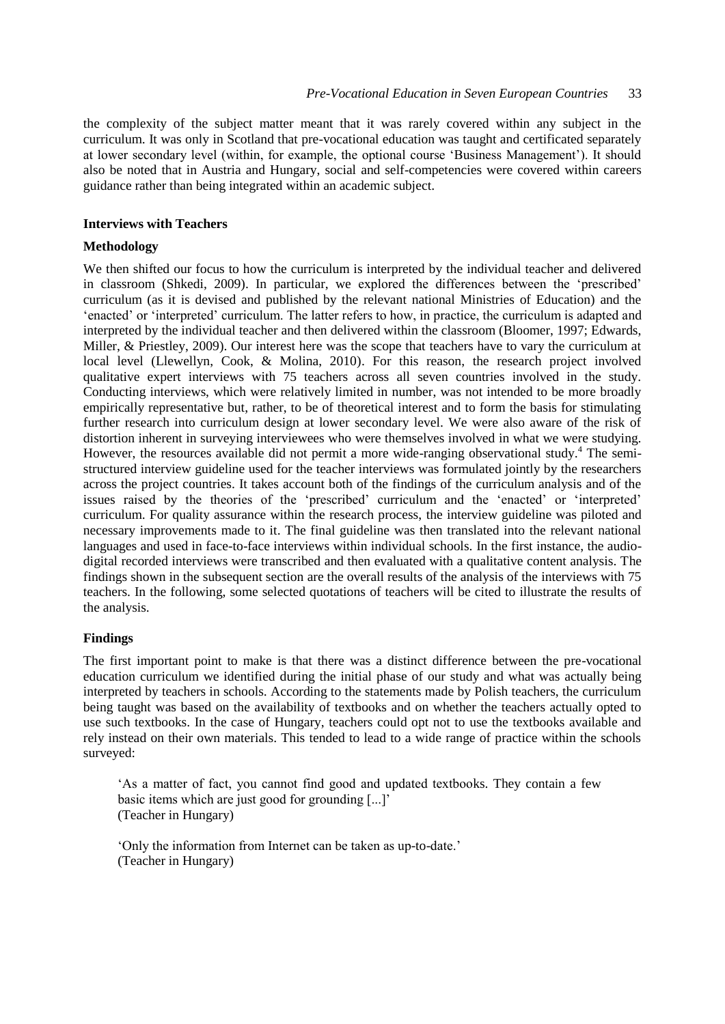the complexity of the subject matter meant that it was rarely covered within any subject in the curriculum. It was only in Scotland that pre-vocational education was taught and certificated separately at lower secondary level (within, for example, the optional course 'Business Management'). It should also be noted that in Austria and Hungary, social and self-competencies were covered within careers guidance rather than being integrated within an academic subject.

## **Interviews with Teachers**

## **Methodology**

We then shifted our focus to how the curriculum is interpreted by the individual teacher and delivered in classroom (Shkedi, 2009). In particular, we explored the differences between the 'prescribed' curriculum (as it is devised and published by the relevant national Ministries of Education) and the 'enacted' or 'interpreted' curriculum. The latter refers to how, in practice, the curriculum is adapted and interpreted by the individual teacher and then delivered within the classroom (Bloomer, 1997; Edwards, Miller, & Priestley, 2009). Our interest here was the scope that teachers have to vary the curriculum at local level (Llewellyn, Cook, & Molina, 2010). For this reason, the research project involved qualitative expert interviews with 75 teachers across all seven countries involved in the study. Conducting interviews, which were relatively limited in number, was not intended to be more broadly empirically representative but, rather, to be of theoretical interest and to form the basis for stimulating further research into curriculum design at lower secondary level. We were also aware of the risk of distortion inherent in surveying interviewees who were themselves involved in what we were studying. However, the resources available did not permit a more wide-ranging observational study.<sup>4</sup> The semistructured interview guideline used for the teacher interviews was formulated jointly by the researchers across the project countries. It takes account both of the findings of the curriculum analysis and of the issues raised by the theories of the 'prescribed' curriculum and the 'enacted' or 'interpreted' curriculum. For quality assurance within the research process, the interview guideline was piloted and necessary improvements made to it. The final guideline was then translated into the relevant national languages and used in face-to-face interviews within individual schools. In the first instance, the audiodigital recorded interviews were transcribed and then evaluated with a qualitative content analysis. The findings shown in the subsequent section are the overall results of the analysis of the interviews with 75 teachers. In the following, some selected quotations of teachers will be cited to illustrate the results of the analysis.

#### **Findings**

The first important point to make is that there was a distinct difference between the pre-vocational education curriculum we identified during the initial phase of our study and what was actually being interpreted by teachers in schools. According to the statements made by Polish teachers, the curriculum being taught was based on the availability of textbooks and on whether the teachers actually opted to use such textbooks. In the case of Hungary, teachers could opt not to use the textbooks available and rely instead on their own materials. This tended to lead to a wide range of practice within the schools surveyed:

'As a matter of fact, you cannot find good and updated textbooks. They contain a few basic items which are just good for grounding [...]' (Teacher in Hungary)

'Only the information from Internet can be taken as up-to-date.' (Teacher in Hungary)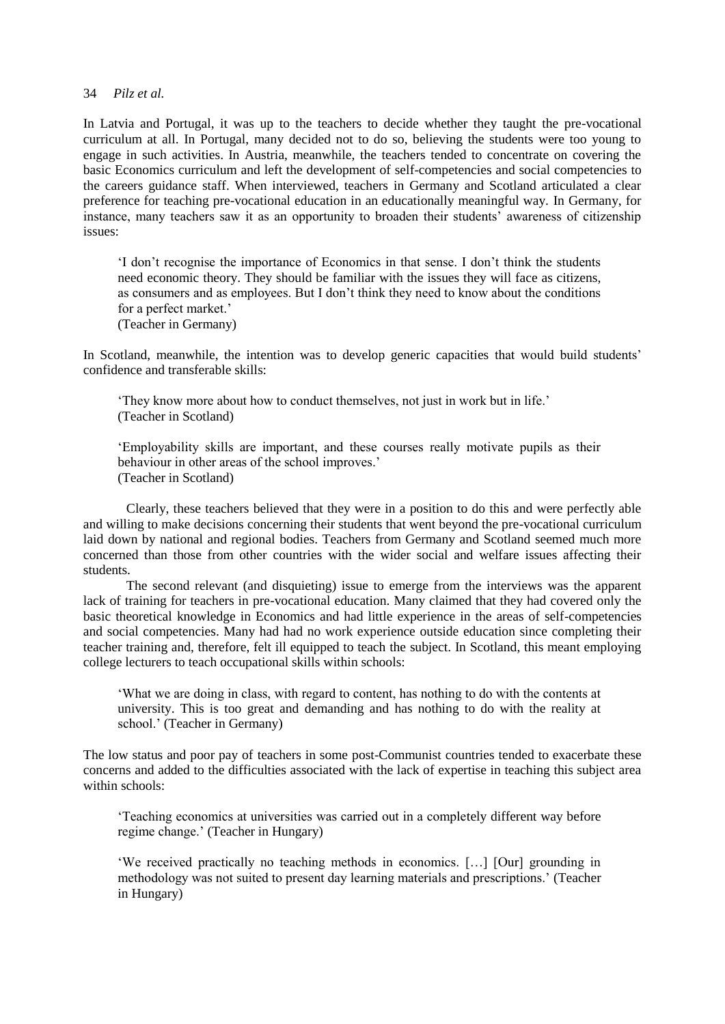In Latvia and Portugal, it was up to the teachers to decide whether they taught the pre-vocational curriculum at all. In Portugal, many decided not to do so, believing the students were too young to engage in such activities. In Austria, meanwhile, the teachers tended to concentrate on covering the basic Economics curriculum and left the development of self-competencies and social competencies to the careers guidance staff. When interviewed, teachers in Germany and Scotland articulated a clear preference for teaching pre-vocational education in an educationally meaningful way. In Germany, for instance, many teachers saw it as an opportunity to broaden their students' awareness of citizenship issues:

'I don't recognise the importance of Economics in that sense. I don't think the students need economic theory. They should be familiar with the issues they will face as citizens, as consumers and as employees. But I don't think they need to know about the conditions for a perfect market.' (Teacher in Germany)

In Scotland, meanwhile, the intention was to develop generic capacities that would build students' confidence and transferable skills:

'They know more about how to conduct themselves, not just in work but in life.' (Teacher in Scotland)

'Employability skills are important, and these courses really motivate pupils as their behaviour in other areas of the school improves.' (Teacher in Scotland)

Clearly, these teachers believed that they were in a position to do this and were perfectly able and willing to make decisions concerning their students that went beyond the pre-vocational curriculum laid down by national and regional bodies. Teachers from Germany and Scotland seemed much more concerned than those from other countries with the wider social and welfare issues affecting their students.

The second relevant (and disquieting) issue to emerge from the interviews was the apparent lack of training for teachers in pre-vocational education. Many claimed that they had covered only the basic theoretical knowledge in Economics and had little experience in the areas of self-competencies and social competencies. Many had had no work experience outside education since completing their teacher training and, therefore, felt ill equipped to teach the subject. In Scotland, this meant employing college lecturers to teach occupational skills within schools:

'What we are doing in class, with regard to content, has nothing to do with the contents at university. This is too great and demanding and has nothing to do with the reality at school.' (Teacher in Germany)

The low status and poor pay of teachers in some post-Communist countries tended to exacerbate these concerns and added to the difficulties associated with the lack of expertise in teaching this subject area within schools:

'Teaching economics at universities was carried out in a completely different way before regime change.' (Teacher in Hungary)

'We received practically no teaching methods in economics. […] [Our] grounding in methodology was not suited to present day learning materials and prescriptions.' (Teacher in Hungary)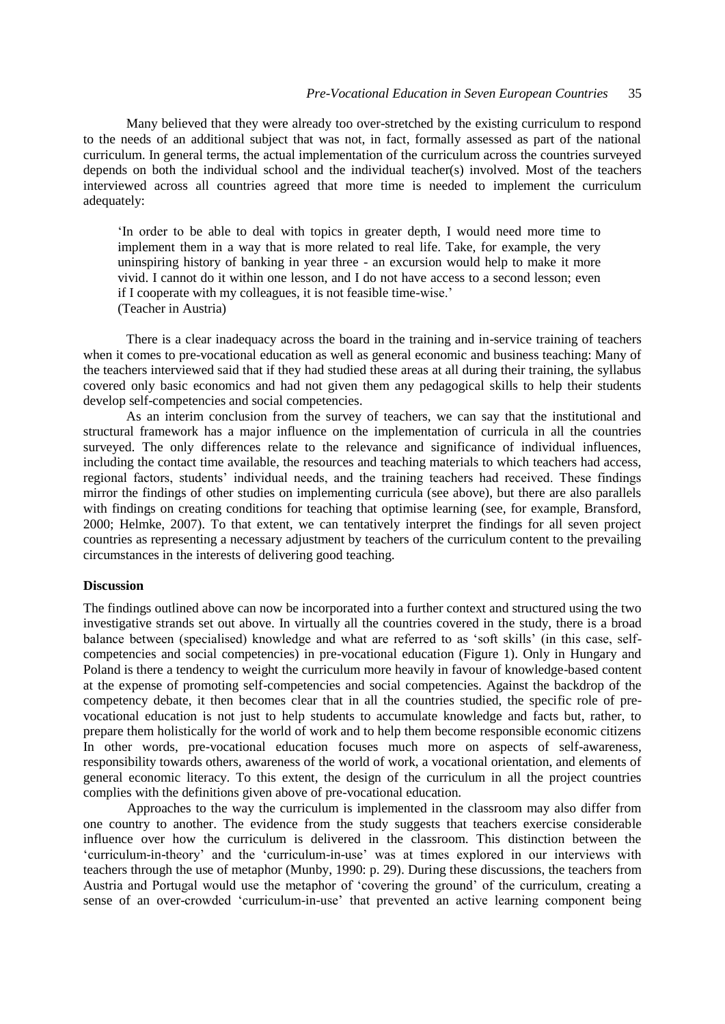Many believed that they were already too over-stretched by the existing curriculum to respond to the needs of an additional subject that was not, in fact, formally assessed as part of the national curriculum. In general terms, the actual implementation of the curriculum across the countries surveyed depends on both the individual school and the individual teacher(s) involved. Most of the teachers interviewed across all countries agreed that more time is needed to implement the curriculum adequately:

'In order to be able to deal with topics in greater depth, I would need more time to implement them in a way that is more related to real life. Take, for example, the very uninspiring history of banking in year three - an excursion would help to make it more vivid. I cannot do it within one lesson, and I do not have access to a second lesson; even if I cooperate with my colleagues, it is not feasible time-wise.' (Teacher in Austria)

There is a clear inadequacy across the board in the training and in-service training of teachers when it comes to pre-vocational education as well as general economic and business teaching: Many of the teachers interviewed said that if they had studied these areas at all during their training, the syllabus covered only basic economics and had not given them any pedagogical skills to help their students develop self-competencies and social competencies.

As an interim conclusion from the survey of teachers, we can say that the institutional and structural framework has a major influence on the implementation of curricula in all the countries surveyed. The only differences relate to the relevance and significance of individual influences, including the contact time available, the resources and teaching materials to which teachers had access, regional factors, students' individual needs, and the training teachers had received. These findings mirror the findings of other studies on implementing curricula (see above), but there are also parallels with findings on creating conditions for teaching that optimise learning (see, for example, Bransford, 2000; Helmke, 2007). To that extent, we can tentatively interpret the findings for all seven project countries as representing a necessary adjustment by teachers of the curriculum content to the prevailing circumstances in the interests of delivering good teaching.

## **Discussion**

The findings outlined above can now be incorporated into a further context and structured using the two investigative strands set out above. In virtually all the countries covered in the study, there is a broad balance between (specialised) knowledge and what are referred to as 'soft skills' (in this case, selfcompetencies and social competencies) in pre-vocational education (Figure 1). Only in Hungary and Poland is there a tendency to weight the curriculum more heavily in favour of knowledge-based content at the expense of promoting self-competencies and social competencies. Against the backdrop of the competency debate, it then becomes clear that in all the countries studied, the specific role of prevocational education is not just to help students to accumulate knowledge and facts but, rather, to prepare them holistically for the world of work and to help them become responsible economic citizens In other words, pre-vocational education focuses much more on aspects of self-awareness, responsibility towards others, awareness of the world of work, a vocational orientation, and elements of general economic literacy. To this extent, the design of the curriculum in all the project countries complies with the definitions given above of pre-vocational education.

Approaches to the way the curriculum is implemented in the classroom may also differ from one country to another. The evidence from the study suggests that teachers exercise considerable influence over how the curriculum is delivered in the classroom. This distinction between the 'curriculum-in-theory' and the 'curriculum-in-use' was at times explored in our interviews with teachers through the use of metaphor (Munby, 1990: p. 29). During these discussions, the teachers from Austria and Portugal would use the metaphor of 'covering the ground' of the curriculum, creating a sense of an over-crowded 'curriculum-in-use' that prevented an active learning component being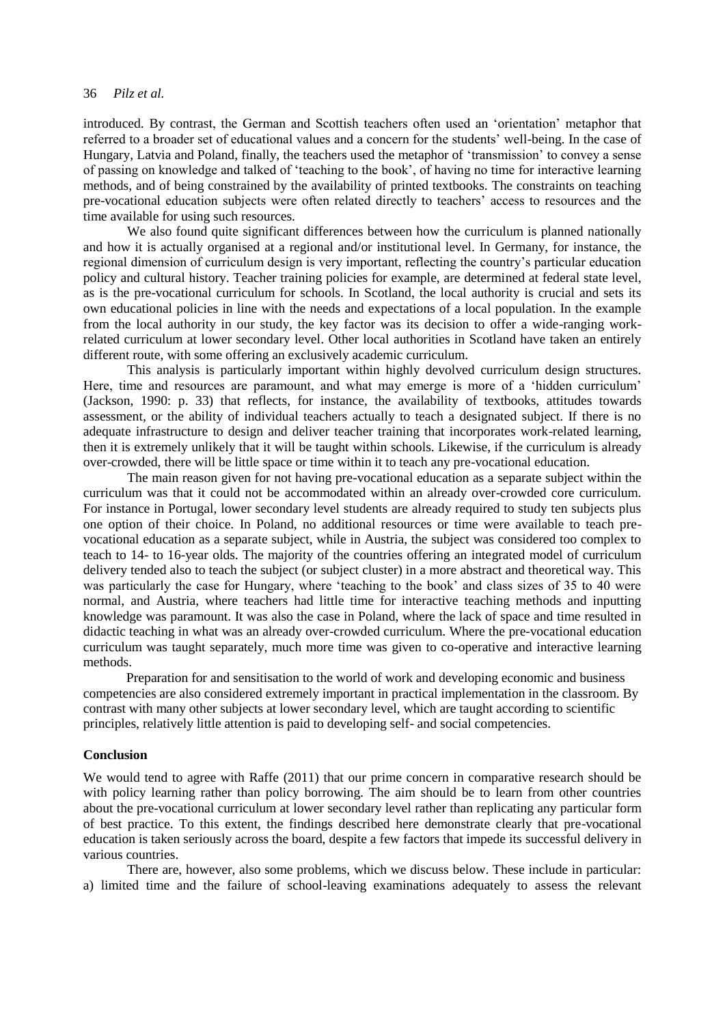introduced. By contrast, the German and Scottish teachers often used an 'orientation' metaphor that referred to a broader set of educational values and a concern for the students' well-being. In the case of Hungary, Latvia and Poland, finally, the teachers used the metaphor of 'transmission' to convey a sense of passing on knowledge and talked of 'teaching to the book', of having no time for interactive learning methods, and of being constrained by the availability of printed textbooks. The constraints on teaching pre-vocational education subjects were often related directly to teachers' access to resources and the time available for using such resources.

We also found quite significant differences between how the curriculum is planned nationally and how it is actually organised at a regional and/or institutional level. In Germany, for instance, the regional dimension of curriculum design is very important, reflecting the country's particular education policy and cultural history. Teacher training policies for example, are determined at federal state level, as is the pre-vocational curriculum for schools. In Scotland, the local authority is crucial and sets its own educational policies in line with the needs and expectations of a local population. In the example from the local authority in our study, the key factor was its decision to offer a wide-ranging workrelated curriculum at lower secondary level. Other local authorities in Scotland have taken an entirely different route, with some offering an exclusively academic curriculum.

This analysis is particularly important within highly devolved curriculum design structures. Here, time and resources are paramount, and what may emerge is more of a 'hidden curriculum' (Jackson, 1990: p. 33) that reflects, for instance, the availability of textbooks, attitudes towards assessment, or the ability of individual teachers actually to teach a designated subject. If there is no adequate infrastructure to design and deliver teacher training that incorporates work-related learning, then it is extremely unlikely that it will be taught within schools. Likewise, if the curriculum is already over-crowded, there will be little space or time within it to teach any pre-vocational education.

The main reason given for not having pre-vocational education as a separate subject within the curriculum was that it could not be accommodated within an already over-crowded core curriculum. For instance in Portugal, lower secondary level students are already required to study ten subjects plus one option of their choice. In Poland, no additional resources or time were available to teach prevocational education as a separate subject, while in Austria, the subject was considered too complex to teach to 14- to 16-year olds. The majority of the countries offering an integrated model of curriculum delivery tended also to teach the subject (or subject cluster) in a more abstract and theoretical way. This was particularly the case for Hungary, where 'teaching to the book' and class sizes of 35 to 40 were normal, and Austria, where teachers had little time for interactive teaching methods and inputting knowledge was paramount. It was also the case in Poland, where the lack of space and time resulted in didactic teaching in what was an already over-crowded curriculum. Where the pre-vocational education curriculum was taught separately, much more time was given to co-operative and interactive learning methods.

Preparation for and sensitisation to the world of work and developing economic and business competencies are also considered extremely important in practical implementation in the classroom. By contrast with many other subjects at lower secondary level, which are taught according to scientific principles, relatively little attention is paid to developing self- and social competencies.

## **Conclusion**

We would tend to agree with Raffe (2011) that our prime concern in comparative research should be with policy learning rather than policy borrowing. The aim should be to learn from other countries about the pre-vocational curriculum at lower secondary level rather than replicating any particular form of best practice. To this extent, the findings described here demonstrate clearly that pre-vocational education is taken seriously across the board, despite a few factors that impede its successful delivery in various countries.

There are, however, also some problems, which we discuss below. These include in particular: a) limited time and the failure of school-leaving examinations adequately to assess the relevant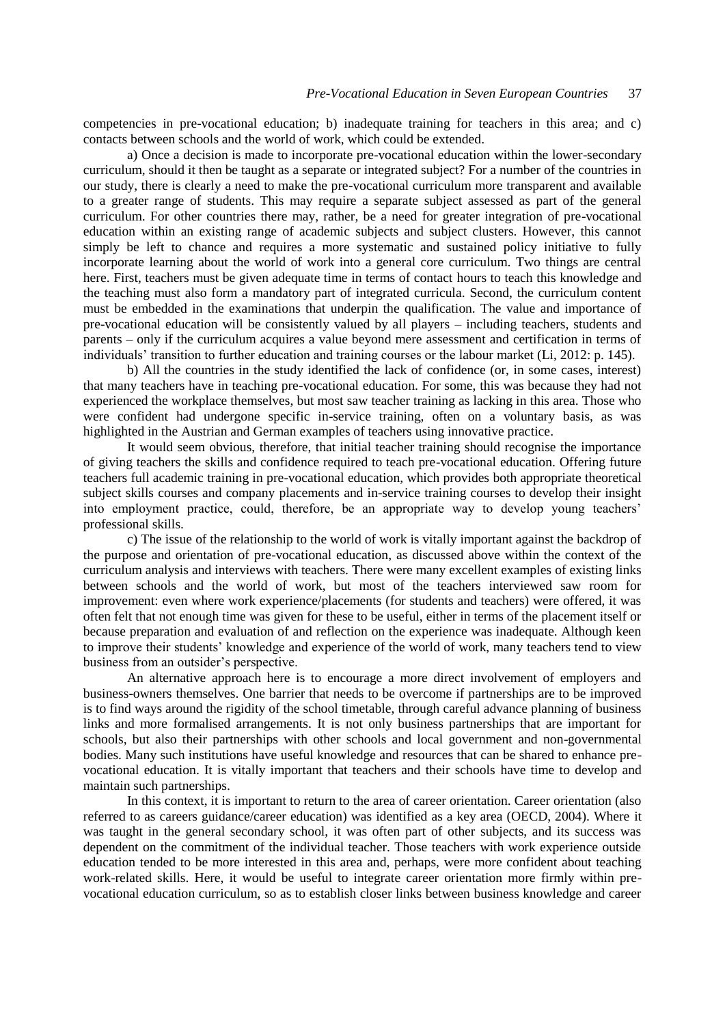competencies in pre-vocational education; b) inadequate training for teachers in this area; and c) contacts between schools and the world of work, which could be extended.

a) Once a decision is made to incorporate pre-vocational education within the lower-secondary curriculum, should it then be taught as a separate or integrated subject? For a number of the countries in our study, there is clearly a need to make the pre-vocational curriculum more transparent and available to a greater range of students. This may require a separate subject assessed as part of the general curriculum. For other countries there may, rather, be a need for greater integration of pre-vocational education within an existing range of academic subjects and subject clusters. However, this cannot simply be left to chance and requires a more systematic and sustained policy initiative to fully incorporate learning about the world of work into a general core curriculum. Two things are central here. First, teachers must be given adequate time in terms of contact hours to teach this knowledge and the teaching must also form a mandatory part of integrated curricula. Second, the curriculum content must be embedded in the examinations that underpin the qualification. The value and importance of pre-vocational education will be consistently valued by all players – including teachers, students and parents – only if the curriculum acquires a value beyond mere assessment and certification in terms of individuals' transition to further education and training courses or the labour market (Li, 2012: p. 145).

b) All the countries in the study identified the lack of confidence (or, in some cases, interest) that many teachers have in teaching pre-vocational education. For some, this was because they had not experienced the workplace themselves, but most saw teacher training as lacking in this area. Those who were confident had undergone specific in-service training, often on a voluntary basis, as was highlighted in the Austrian and German examples of teachers using innovative practice.

It would seem obvious, therefore, that initial teacher training should recognise the importance of giving teachers the skills and confidence required to teach pre-vocational education. Offering future teachers full academic training in pre-vocational education, which provides both appropriate theoretical subject skills courses and company placements and in-service training courses to develop their insight into employment practice, could, therefore, be an appropriate way to develop young teachers' professional skills.

c) The issue of the relationship to the world of work is vitally important against the backdrop of the purpose and orientation of pre-vocational education, as discussed above within the context of the curriculum analysis and interviews with teachers. There were many excellent examples of existing links between schools and the world of work, but most of the teachers interviewed saw room for improvement: even where work experience/placements (for students and teachers) were offered, it was often felt that not enough time was given for these to be useful, either in terms of the placement itself or because preparation and evaluation of and reflection on the experience was inadequate. Although keen to improve their students' knowledge and experience of the world of work, many teachers tend to view business from an outsider's perspective.

An alternative approach here is to encourage a more direct involvement of employers and business-owners themselves. One barrier that needs to be overcome if partnerships are to be improved is to find ways around the rigidity of the school timetable, through careful advance planning of business links and more formalised arrangements. It is not only business partnerships that are important for schools, but also their partnerships with other schools and local government and non-governmental bodies. Many such institutions have useful knowledge and resources that can be shared to enhance prevocational education. It is vitally important that teachers and their schools have time to develop and maintain such partnerships.

In this context, it is important to return to the area of career orientation. Career orientation (also referred to as careers guidance/career education) was identified as a key area (OECD, 2004). Where it was taught in the general secondary school, it was often part of other subjects, and its success was dependent on the commitment of the individual teacher. Those teachers with work experience outside education tended to be more interested in this area and, perhaps, were more confident about teaching work-related skills. Here, it would be useful to integrate career orientation more firmly within prevocational education curriculum, so as to establish closer links between business knowledge and career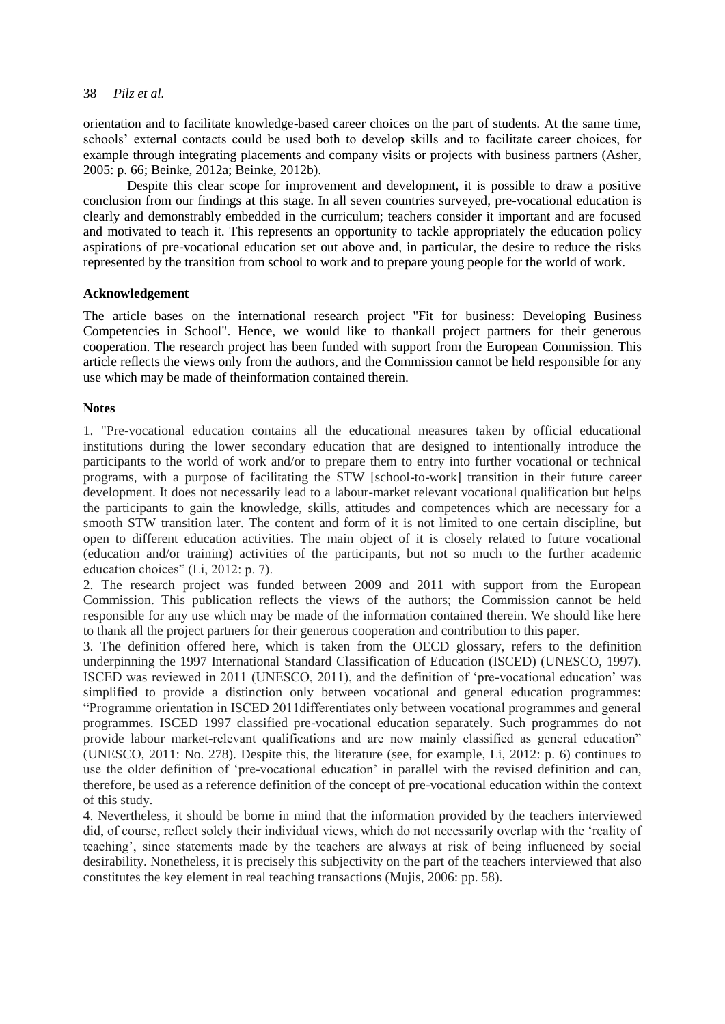orientation and to facilitate knowledge-based career choices on the part of students. At the same time, schools' external contacts could be used both to develop skills and to facilitate career choices, for example through integrating placements and company visits or projects with business partners (Asher, 2005: p. 66; Beinke, 2012a; Beinke, 2012b).

Despite this clear scope for improvement and development, it is possible to draw a positive conclusion from our findings at this stage. In all seven countries surveyed, pre-vocational education is clearly and demonstrably embedded in the curriculum; teachers consider it important and are focused and motivated to teach it. This represents an opportunity to tackle appropriately the education policy aspirations of pre-vocational education set out above and, in particular, the desire to reduce the risks represented by the transition from school to work and to prepare young people for the world of work.

# **Acknowledgement**

The article bases on the international research project "Fit for business: Developing Business Competencies in School". Hence, we would like to thankall project partners for their generous cooperation. The research project has been funded with support from the European Commission. This article reflects the views only from the authors, and the Commission cannot be held responsible for any use which may be made of theinformation contained therein.

# **Notes**

1. "Pre-vocational education contains all the educational measures taken by official educational institutions during the lower secondary education that are designed to intentionally introduce the participants to the world of work and/or to prepare them to entry into further vocational or technical programs, with a purpose of facilitating the STW [school-to-work] transition in their future career development. It does not necessarily lead to a labour-market relevant vocational qualification but helps the participants to gain the knowledge, skills, attitudes and competences which are necessary for a smooth STW transition later. The content and form of it is not limited to one certain discipline, but open to different education activities. The main object of it is closely related to future vocational (education and/or training) activities of the participants, but not so much to the further academic education choices" (Li, 2012: p. 7).

2. The research project was funded between 2009 and 2011 with support from the European Commission. This publication reflects the views of the authors; the Commission cannot be held responsible for any use which may be made of the information contained therein. We should like here to thank all the project partners for their generous cooperation and contribution to this paper.

3. The definition offered here, which is taken from the OECD glossary, refers to the definition underpinning the 1997 International Standard Classification of Education (ISCED) (UNESCO, 1997). ISCED was reviewed in 2011 (UNESCO, 2011), and the definition of 'pre-vocational education' was simplified to provide a distinction only between vocational and general education programmes: "Programme orientation in ISCED 2011differentiates only between vocational programmes and general programmes. ISCED 1997 classified pre-vocational education separately. Such programmes do not provide labour market-relevant qualifications and are now mainly classified as general education" (UNESCO, 2011: No. 278). Despite this, the literature (see, for example, Li, 2012: p. 6) continues to use the older definition of 'pre-vocational education' in parallel with the revised definition and can, therefore, be used as a reference definition of the concept of pre-vocational education within the context of this study.

4. Nevertheless, it should be borne in mind that the information provided by the teachers interviewed did, of course, reflect solely their individual views, which do not necessarily overlap with the 'reality of teaching', since statements made by the teachers are always at risk of being influenced by social desirability. Nonetheless, it is precisely this subjectivity on the part of the teachers interviewed that also constitutes the key element in real teaching transactions (Mujis, 2006: pp. 58).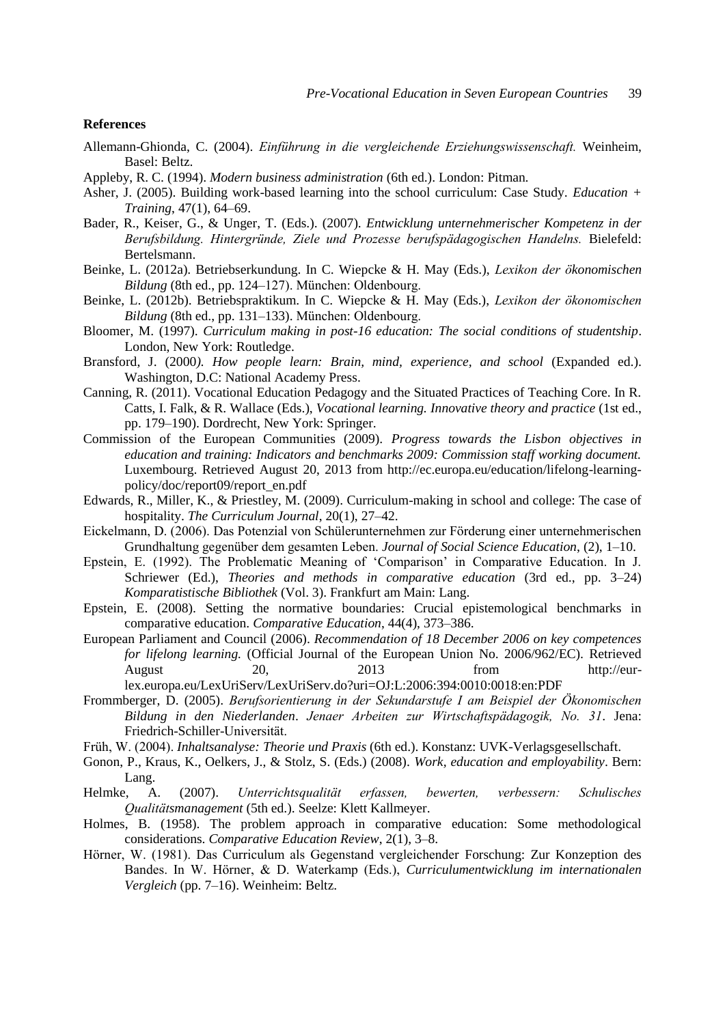## **References**

- Allemann-Ghionda, C. (2004). *Einführung in die vergleichende Erziehungswissenschaft.* Weinheim, Basel: Beltz.
- Appleby, R. C. (1994). *Modern business administration* (6th ed.). London: Pitman.
- Asher, J. (2005). Building work-based learning into the school curriculum: Case Study. *Education + Training*, 47(1), 64–69.
- Bader, R., Keiser, G., & Unger, T. (Eds.). (2007). *Entwicklung unternehmerischer Kompetenz in der Berufsbildung. Hintergründe, Ziele und Prozesse berufspädagogischen Handelns.* Bielefeld: Bertelsmann.
- Beinke, L. (2012a). Betriebserkundung. In C. Wiepcke & H. May (Eds.), *Lexikon der ökonomischen Bildung* (8th ed., pp. 124–127). München: Oldenbourg.
- Beinke, L. (2012b). Betriebspraktikum. In C. Wiepcke & H. May (Eds.), *Lexikon der ökonomischen Bildung* (8th ed., pp. 131–133). München: Oldenbourg.
- Bloomer, M. (1997). *Curriculum making in post-16 education: The social conditions of studentship*. London, New York: Routledge.
- Bransford, J. (2000*). How people learn: Brain, mind, experience, and school* (Expanded ed.). Washington, D.C: National Academy Press.
- Canning, R. (2011). Vocational Education Pedagogy and the Situated Practices of Teaching Core. In R. Catts, I. Falk, & R. Wallace (Eds.), *Vocational learning. Innovative theory and practice* (1st ed., pp. 179–190). Dordrecht, New York: Springer.
- Commission of the European Communities (2009). *Progress towards the Lisbon objectives in education and training: Indicators and benchmarks 2009: Commission staff working document.* Luxembourg. Retrieved August 20, 2013 from http://ec.europa.eu/education/lifelong-learningpolicy/doc/report09/report\_en.pdf
- Edwards, R., Miller, K., & Priestley, M. (2009). Curriculum-making in school and college: The case of hospitality. *The Curriculum Journal*, 20(1), 27–42.
- Eickelmann, D. (2006). Das Potenzial von Schülerunternehmen zur Förderung einer unternehmerischen Grundhaltung gegenüber dem gesamten Leben. *Journal of Social Science Education*, (2), 1–10.
- Epstein, E. (1992). The Problematic Meaning of 'Comparison' in Comparative Education. In J. Schriewer (Ed.), *Theories and methods in comparative education* (3rd ed., pp. 3–24) *Komparatistische Bibliothek* (Vol. 3). Frankfurt am Main: Lang.
- Epstein, E. (2008). Setting the normative boundaries: Crucial epistemological benchmarks in comparative education. *Comparative Education*, 44(4), 373–386.
- European Parliament and Council (2006). *Recommendation of 18 December 2006 on key competences for lifelong learning.* (Official Journal of the European Union No. 2006/962/EC). Retrieved August 20, 2013 from http://eurlex.europa.eu/LexUriServ/LexUriServ.do?uri=OJ:L:2006:394:0010:0018:en:PDF
- Frommberger, D. (2005). *Berufsorientierung in der Sekundarstufe I am Beispiel der Ökonomischen Bildung in den Niederlanden*. *Jenaer Arbeiten zur Wirtschaftspädagogik, No. 31*. Jena: Friedrich-Schiller-Universität.
- Früh, W. (2004). *Inhaltsanalyse: Theorie und Praxis* (6th ed.). Konstanz: UVK-Verlagsgesellschaft.
- Gonon, P., Kraus, K., Oelkers, J., & Stolz, S. (Eds.) (2008). *Work, education and employability*. Bern: Lang.
- Helmke, A. (2007). *Unterrichtsqualität erfassen, bewerten, verbessern: Schulisches Qualitätsmanagement* (5th ed.). Seelze: Klett Kallmeyer.
- Holmes, B. (1958). The problem approach in comparative education: Some methodological considerations. *Comparative Education Review*, 2(1), 3–8.
- Hörner, W. (1981). Das Curriculum als Gegenstand vergleichender Forschung: Zur Konzeption des Bandes. In W. Hörner, & D. Waterkamp (Eds.), *Curriculumentwicklung im internationalen Vergleich* (pp. 7–16). Weinheim: Beltz.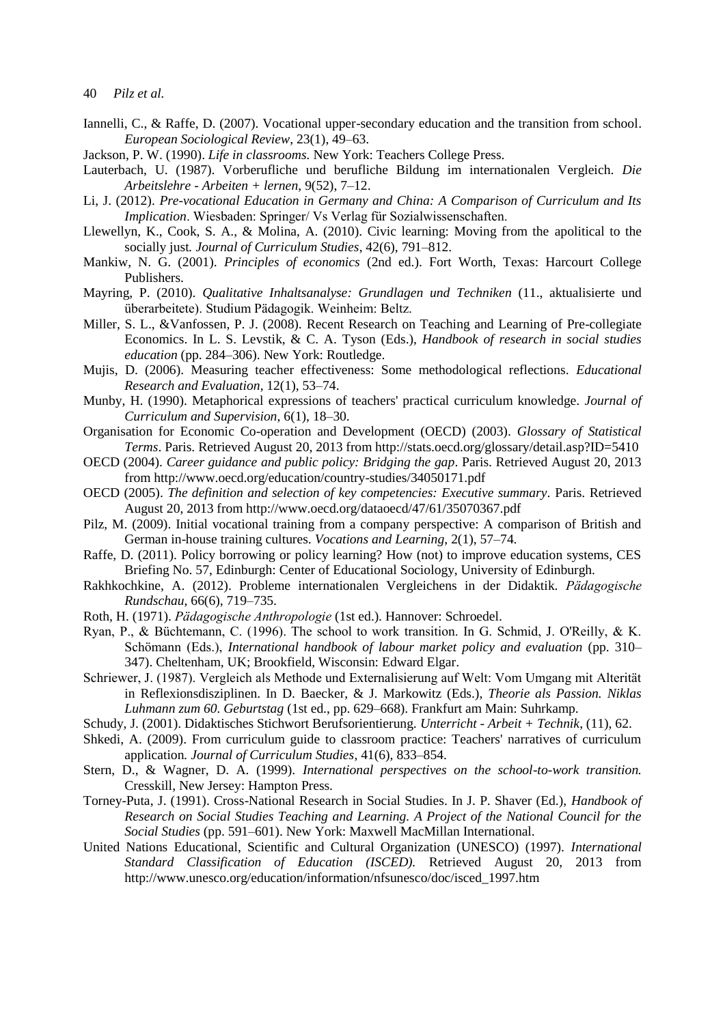- Iannelli, C., & Raffe, D. (2007). Vocational upper-secondary education and the transition from school. *European Sociological Review*, 23(1), 49–63.
- Jackson, P. W. (1990). *Life in classrooms.* New York: Teachers College Press.
- Lauterbach, U. (1987). Vorberufliche und berufliche Bildung im internationalen Vergleich. *Die Arbeitslehre - Arbeiten + lernen*, 9(52), 7–12.
- Li, J. (2012). *Pre-vocational Education in Germany and China: A Comparison of Curriculum and Its Implication*. Wiesbaden: Springer/ Vs Verlag für Sozialwissenschaften.
- Llewellyn, K., Cook, S. A., & Molina, A. (2010). Civic learning: Moving from the apolitical to the socially just*. Journal of Curriculum Studies*, 42(6), 791–812.
- Mankiw, N. G. (2001). *Principles of economics* (2nd ed.). Fort Worth, Texas: Harcourt College Publishers.
- Mayring, P. (2010). *Qualitative Inhaltsanalyse: Grundlagen und Techniken* (11., aktualisierte und überarbeitete). Studium Pädagogik. Weinheim: Beltz.
- Miller, S. L., &Vanfossen, P. J. (2008). Recent Research on Teaching and Learning of Pre-collegiate Economics. In L. S. Levstik, & C. A. Tyson (Eds.), *Handbook of research in social studies education* (pp. 284–306). New York: Routledge.
- Mujis, D. (2006). Measuring teacher effectiveness: Some methodological reflections. *Educational Research and Evaluation*, 12(1), 53–74.
- Munby, H. (1990). Metaphorical expressions of teachers' practical curriculum knowledge. *Journal of Curriculum and Supervision*, 6(1), 18–30.
- Organisation for Economic Co-operation and Development (OECD) (2003). *Glossary of Statistical Terms*. Paris. Retrieved August 20, 2013 from http://stats.oecd.org/glossary/detail.asp?ID=5410
- OECD (2004). *Career guidance and public policy: Bridging the gap*. Paris. Retrieved August 20, 2013 from http://www.oecd.org/education/country-studies/34050171.pdf
- OECD (2005). *The definition and selection of key competencies: Executive summary.* Paris. Retrieved August 20, 2013 from http://www.oecd.org/dataoecd/47/61/35070367.pdf
- Pilz, M. (2009). Initial vocational training from a company perspective: A comparison of British and German in-house training cultures. *Vocations and Learning*, 2(1), 57–74.
- Raffe, D. (2011). Policy borrowing or policy learning? How (not) to improve education systems, CES Briefing No. 57, Edinburgh: Center of Educational Sociology, University of Edinburgh.
- Rakhkochkine, A. (2012). Probleme internationalen Vergleichens in der Didaktik. *Pädagogische Rundschau*, 66(6), 719–735.
- Roth, H. (1971). *Pädagogische Anthropologie* (1st ed.). Hannover: Schroedel.
- Ryan, P., & Büchtemann, C. (1996). The school to work transition. In G. Schmid, J. O'Reilly, & K. Schömann (Eds.), *International handbook of labour market policy and evaluation* (pp. 310– 347). Cheltenham, UK; Brookfield, Wisconsin: Edward Elgar.
- Schriewer, J. (1987). Vergleich als Methode und Externalisierung auf Welt: Vom Umgang mit Alterität in Reflexionsdisziplinen. In D. Baecker, & J. Markowitz (Eds.), *Theorie als Passion. Niklas Luhmann zum 60. Geburtstag* (1st ed., pp. 629–668). Frankfurt am Main: Suhrkamp.
- Schudy, J. (2001). Didaktisches Stichwort Berufsorientierung. *Unterricht - Arbeit + Technik*, (11), 62.
- Shkedi, A. (2009). From curriculum guide to classroom practice: Teachers' narratives of curriculum application*. Journal of Curriculum Studies*, 41(6), 833–854.
- Stern, D., & Wagner, D. A. (1999). *International perspectives on the school-to-work transition.* Cresskill, New Jersey: Hampton Press.
- Torney-Puta, J. (1991). Cross-National Research in Social Studies. In J. P. Shaver (Ed.), *Handbook of Research on Social Studies Teaching and Learning. A Project of the National Council for the Social Studies* (pp. 591–601). New York: Maxwell MacMillan International.
- United Nations Educational, Scientific and Cultural Organization (UNESCO) (1997). *International Standard Classification of Education (ISCED).* Retrieved August 20, 2013 from http://www.unesco.org/education/information/nfsunesco/doc/isced\_1997.htm